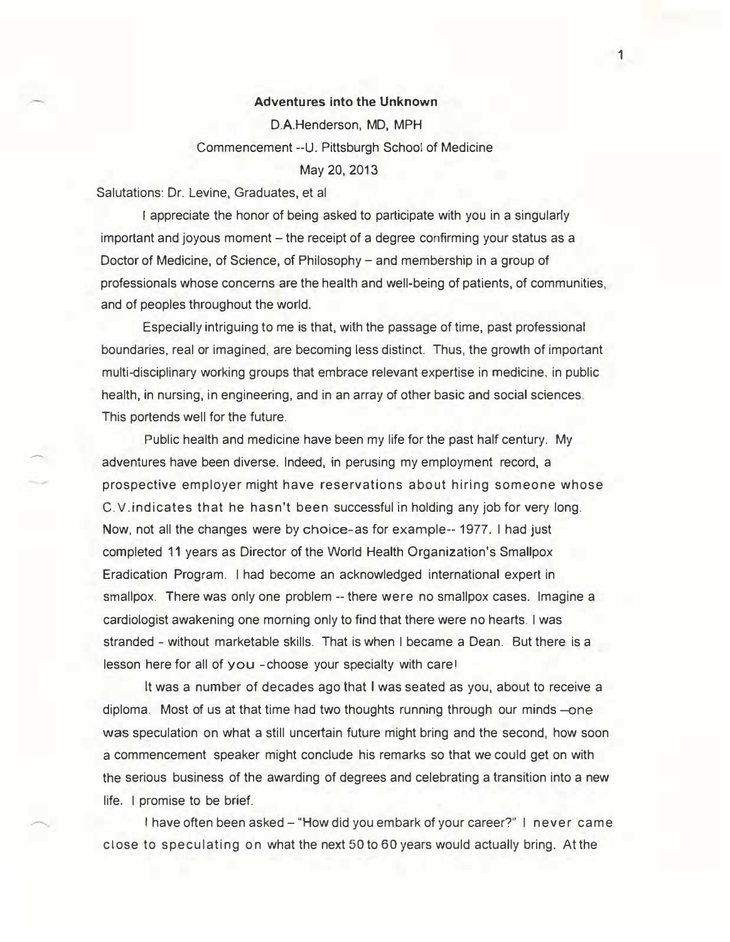## Adventures into the Unknown

D.A.Henderson, MD, MPH Commencement --U. Pittsburgh School of Medicine May 20, 2013

Salutations: Dr. Levine, Graduates, et al

-

I appreciate the honor of being asked to participate with you in a singularly important and joyous moment – the receipt of a degree confirming your status as a Doctor of Medicine, of Science, of Philosophy – and membership in a group of professionals whose concerns are the health and well- being of patients, of communities, and of peoples throughout the world.

Especially intriguing to me is that, with the passage of time, past professional boundaries, real or imagined, are becoming less distinct. Thus, the growth of important multi-disciplinary working groups that embrace relevant expertise in medicine, in public health, in nursing, in engineering, and in an array of other basic and social sciences. This portends well for the future.

Public health and medicine have been my life for the past half century. My adventures have been diverse. Indeed, in perusing my employment record, a prospective employer might have reservations about hiring someone whose C.V.indicates that he hasn't been successful in holding any job for very long. Now, not all the changes were by choice-as for example-- 1977. I had just completed 11 years as Director of the World Health Organization's Smallpox Eradication Program. I had become an acknowledged international expert in smallpox. There was only one problem -- there were no smallpox cases. Imagine a cardiologist awakening one morning only to find that there were no hearts. I was stranded - without marketable skills. That is when I became a Dean. But there is a lesson here for all of you -choose your specialty with care!

It was a number of decades ago that I was seated as you, about to receive a diploma. Most of us at that time had two thoughts running through our minds -was speculation on what a still uncertain future might bring and the second, how soon a commencement speaker might conclude his remarks so that we could get on with the serious business of the awarding of degrees and celebrating a transition into a new life. I promise to be brief.

I have often been asked - "How did you embark of your career?" I never came close to speculating on what the next 50 to 60 years would actually bring. At the

1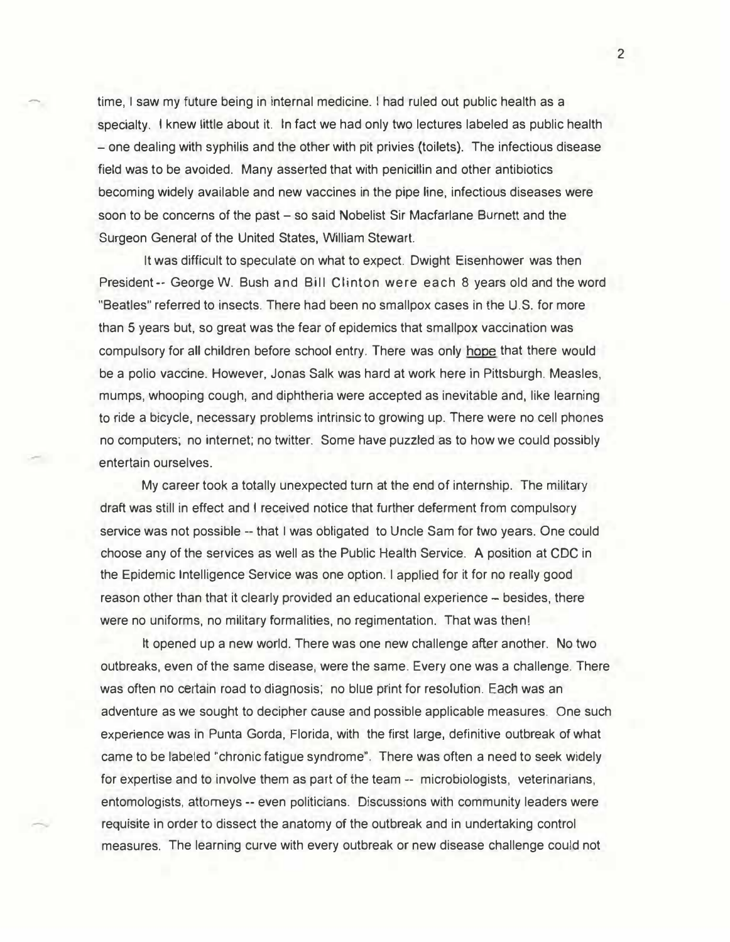time. I saw my future being in internal medicine. I had ruled out public health as a specialty. I knew little about it. In fact we had only two lectures labeled as public health - one dealing with syphilis and the other with pit privies (toilets). The infectious disease field was to be avoided. Many asserted that with penicillin and other antibiotics becoming widely available and new vaccines in the pipe line, infectious diseases were soon to be concerns of the past – so said Nobelist Sir Macfarlane Burnett and the Surgeon General of the United States, William Stewart.

It was difficult to speculate on what to expect. Dwight Eisenhower was then President-- George W. Bush and Bill Clinton were each 8 years old and the word "Beatles" referred to insects. There had been no smallpox cases in the U.S. for more than 5 years but, so great was the fear of epidemics that smallpox vaccination was compulsory for all children before school entry. There was only hope that there would be a polio vaccine. However, Jonas Salk was hard at work here in Pittsburgh. Measles, mumps, whooping cough, and diphtheria were accepted as inevitable and, like learning to ride a bicycle, necessary problems intrinsic to growing up. There were no cell phones no computers; no internet; no twitter. Some have puzzled as to how we could possibly entertain ourselves.

My career took a totally unexpected turn at the end of internship. The military draft was still in effect and I received notice that further deferment from compulsory service was not possible -- that I was obligated to Uncle Sam for two years. One could choose any of the services as well as the Public Health Service. A position at CDC in the Epidemic Intelligence Service was one option. I applied for it for no really good reason other than that it clearly provided an educational experience - besides, there were no uniforms, no military formalities, no regimentation. That was then!

It opened up a new world. There was one new challenge after another. No two outbreaks, even of the same disease, were the same. Every one was a challenge. There was often no certain road to diagnosis; no blue print for resolution. Each was an adventure as we sought to decipher cause and possible applicable measures. One such experience was in Punta Gorda, Florida, with the first large, definitive outbreak of what came to be labeled "chronic fatigue syndrome". There was often a need to seek widely for expertise and to involve them as part of the team -- microbiologists, veterinarians, entomologists, attorneys -- even politicians. Discussions with community leaders were requisite in order to dissect the anatomy of the outbreak and in undertaking control measures. The learning curve with every outbreak or new disease challenge could not

2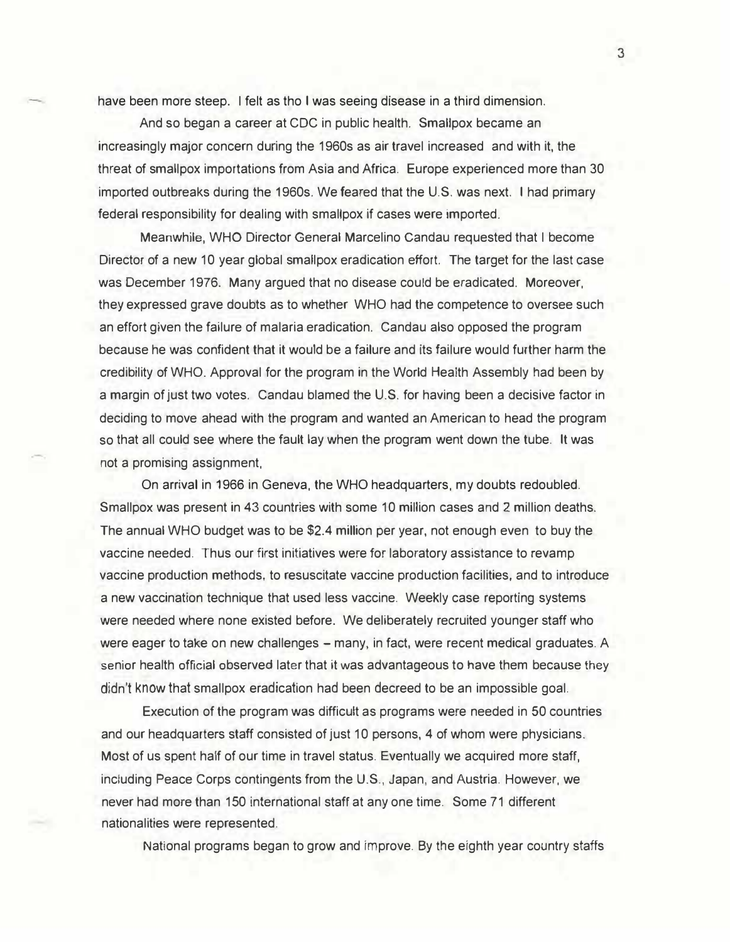have been more steep. I felt as tho I was seeing disease in a third dimension.

And so began a career at CDC in public health. Smallpox became an increasingly major concern during the 1960s as air travel increased and with it, the threat of smallpox importations from Asia and Africa. Europe experienced more than 30 imported outbreaks during the 1960s. We feared that the U.S. was next. I had primary federal responsibility for dealing with smallpox if cases were imported.

Meanwhile, WHO Director General Marcelino Candau requested that I become Director of a new 10 year global smallpox eradication effort. The target for the last case was December 1976. Many argued that no disease could be eradicated. Moreover, they expressed grave doubts as to whether WHO had the competence to oversee such an effort given the failure of malaria eradication. Candau also opposed the program because he was confident that it would be a failure and its failure would further harm the credibility of WHO. Approval for the program in the World Health Assembly had been by a margin of just two votes. Candau blamed the U.S. for having been a decisive factor in deciding to move ahead with the program and wanted an American to head the program so that all could see where the fault lay when the program went down the tube. It was not a promising assignment,

On arrival in 1966 in Geneva, the WHO headquarters, my doubts redoubled. Smallpox was present in 43 countries with some 10 million cases and 2 million deaths. The annual WHO budget was to be \$2.4 million per year, not enough even to buy the vaccine needed. Thus our first initiatives were for laboratory assistance to revamp vaccine production methods, to resuscitate vaccine production facilities, and to introduce a new vaccination technique that used less vaccine. Weekly case reporting systems were needed where none existed before. We deliberately recruited younger staff who were eager to take on new challenges - many, in fact, were recent medical graduates. A senior health official observed later that it was advantageous to have them because they didn't know that smallpox eradication had been decreed to be an impossible goal.

Execution of the program was difficult as programs were needed in 50 countries and our headquarters staff consisted of just 10 persons, 4 of whom were physicians. Most of us spent half of our time in travel status. Eventually we acquired more staff, including Peace Corps contingents from the U.S., Japan, and Austria. However, we never had more than 150 international staff at any one time. Some 71 different nationalities were represented.

National programs began to grow and improve. By the eighth year country staffs

3